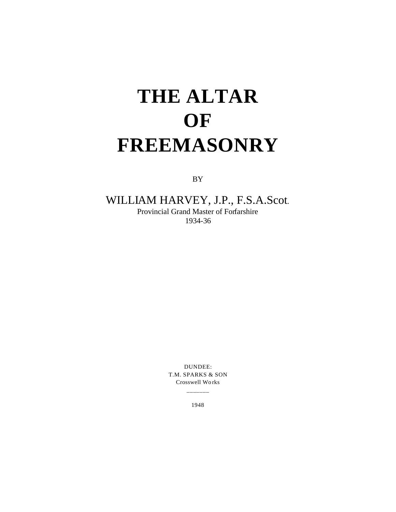## **THE ALTAR OF FREEMASONRY**

BY

## WILLIAM HARVEY, J.P., F.S.A.Scot. Provincial Grand Master of Forfarshire

1934-36

DUNDEE: T.M. SPARKS & SON Crosswell Wo rks

\_\_\_\_\_\_\_

1948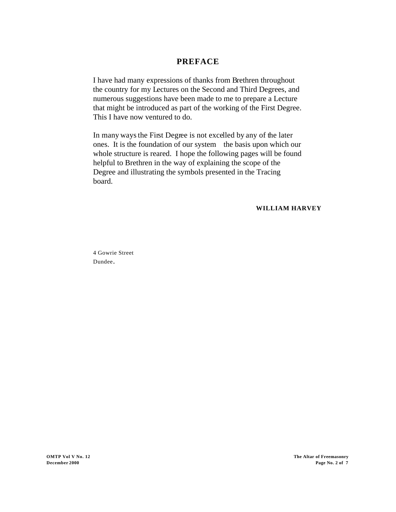## **PREFACE**

I have had many expressions of thanks from Brethren throughout the country for my Lectures on the Second and Third Degrees, and numerous suggestions have been made to me to prepare a Lecture that might be introduced as part of the working of the First Degree. This I have now ventured to do.

In many ways the First Degree is not excelled by any of the later ones. It is the foundation of our system the basis upon which our whole structure is reared. I hope the following pages will be found helpful to Brethren in the way of explaining the scope of the Degree and illustrating the symbols presented in the Tracing board.

**WILLIAM HARVEY**

4 Gowrie Street Dundee.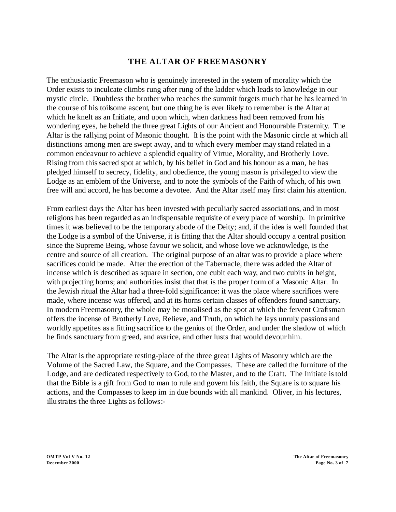## **THE ALTAR OF FREEMASONRY**

The enthusiastic Freemason who is genuinely interested in the system of morality which the Order exists to inculcate climbs rung after rung of the ladder which leads to knowledge in our mystic circle. Doubtless the brother who reaches the summit forgets much that he has learned in the course of his toilsome ascent, but one thing he is ever likely to remember is the Altar at which he knelt as an Initiate, and upon which, when darkness had been removed from his wondering eyes, he beheld the three great Lights of our Ancient and Honourable Fraternity. The Altar is the rallying point of Masonic thought. It is the point with the Masonic circle at which all distinctions among men are swept away, and to which every member may stand related in a common endeavour to achieve a splendid equality of Virtue, Morality, and Brotherly Love. Rising from this sacred spot at which, by his belief in God and his honour as a man, he has pledged himself to secrecy, fidelity, and obedience, the young mason is privileged to view the Lodge as an emblem of the Universe, and to note the symbols of the Faith of which, of his own free will and accord, he has become a devotee. And the Altar itself may first claim his attention.

From earliest days the Altar has been invested with peculiarly sacred associations, and in most religions has been regarded as an indispensable requisite of every place of worship. In primitive times it was believed to be the temporary abode of the Deity; and, if the idea is well founded that the Lodge is a symbol of the Universe, it is fitting that the Altar should occupy a central position since the Supreme Being, whose favour we solicit, and whose love we acknowledge, is the centre and source of all creation. The original purpose of an altar was to provide a place where sacrifices could be made. After the erection of the Tabernacle, there was added the Altar of incense which is described as square in section, one cubit each way, and two cubits in height, with projecting horns; and authorities insist that that is the proper form of a Masonic Altar. In the Jewish ritual the Altar had a three-fold significance: it was the place where sacrifices were made, where incense was offered, and at its horns certain classes of offenders found sanctuary. In modern Freemasonry, the whole may be moralised as the spot at which the fervent Craftsman offers the incense of Brotherly Love, Relieve, and Truth, on which he lays unruly passions and worldly appetites as a fitting sacrifice to the genius of the Order, and under the shadow of which he finds sanctuary from greed, and avarice, and other lusts that would devour him.

The Altar is the appropriate resting-place of the three great Lights of Masonry which are the Volume of the Sacred Law, the Square, and the Compasses. These are called the furniture of the Lodge, and are dedicated respectively to God, to the Master, and to the Craft. The Initiate is told that the Bible is a gift from God to man to rule and govern his faith, the Square is to square his actions, and the Compasses to keep im in due bounds with all mankind. Oliver, in his lectures, illustrates the three Lights as follows:-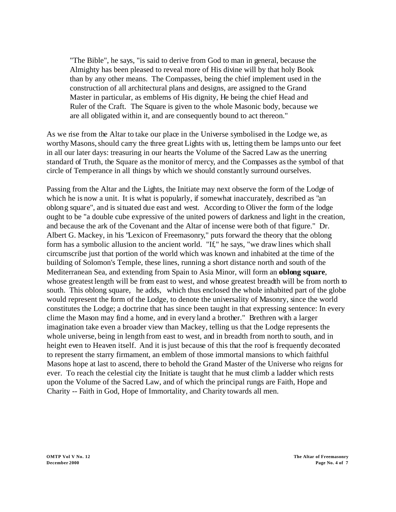"The Bible", he says, "is said to derive from God to man in general, because the Almighty has been pleased to reveal more of His divine will by that holy Book than by any other means. The Compasses, being the chief implement used in the construction of all architectural plans and designs, are assigned to the Grand Master in particular, as emblems of His dignity, He being the chief Head and Ruler of the Craft. The Square is given to the whole Masonic body, because we are all obligated within it, and are consequently bound to act thereon."

As we rise from the Altar to take our place in the Universe symbolised in the Lodge we, as worthy Masons, should carry the three great Lights with us, letting them be lamps unto our feet in all our later days: treasuring in our hearts the Volume of the Sacred Law as the unerring standard of Truth, the Square as the monitor of mercy, and the Compasses as the symbol of that circle of Temperance in all things by which we should constantly surround ourselves.

Passing from the Altar and the Lights, the Initiate may next observe the form of the Lodge of which he is now a unit. It is what is popularly, if somewhat inaccurately, described as "an oblong square", and is situated due east and west. According to Oliver the form of the lodge ought to be "a double cube expressive of the united powers of darkness and light in the creation, and because the ark of the Covenant and the Altar of incense were both of that figure." Dr. Albert G. Mackey, in his "Lexicon of Freemasonry," puts forward the theory that the oblong form has a symbolic allusion to the ancient world. "If," he says, "we draw lines which shall circumscribe just that portion of the world which was known and inhabited at the time of the building of Solomon's Temple, these lines, running a short distance north and south of the Mediterranean Sea, and extending from Spain to Asia Minor, will form an **oblong square**, whose greatest length will be from east to west, and whose greatest breadth will be from north to south. This oblong square, he adds, which thus enclosed the whole inhabited part of the globe would represent the form of the Lodge, to denote the universality of Masonry, since the world constitutes the Lodge; a doctrine that has since been taught in that expressing sentence: In every clime the Mason may find a home, and in every land a brother." Brethren with a larger imagination take even a broader view than Mackey, telling us that the Lodge represents the whole universe, being in length from east to west, and in breadth from north to south, and in height even to Heaven itself. And it is just because of this that the roof is frequently decorated to represent the starry firmament, an emblem of those immortal mansions to which faithful Masons hope at last to ascend, there to behold the Grand Master of the Universe who reigns for ever. To reach the celestial city the Initiate is taught that he must climb a ladder which rests upon the Volume of the Sacred Law, and of which the principal rungs are Faith, Hope and Charity -- Faith in God, Hope of Immortality, and Charity towards all men.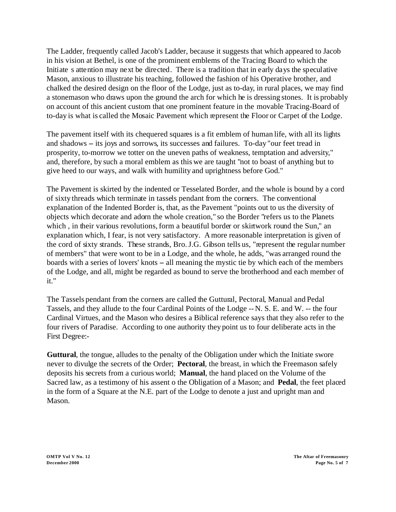The Ladder, frequently called Jacob's Ladder, because it suggests that which appeared to Jacob in his vision at Bethel, is one of the prominent emblems of the Tracing Board to which the Initiate s attention may next be directed. There is a tradition that in early days the speculative Mason, anxious to illustrate his teaching, followed the fashion of his Operative brother, and chalked the desired design on the floor of the Lodge, just as to-day, in rural places, we may find a stonemason who draws upon the ground the arch for which he is dressing stones. It is probably on account of this ancient custom that one prominent feature in the movable Tracing-Board of to-day is what is called the Mosaic Pavement which represent the Floor or Carpet of the Lodge.

The pavement itself with its chequered squares is a fit emblem of human life, with all its lights and shadows – its joys and sorrows, its successes and failures. To-day "our feet tread in prosperity, to-morrow we totter on the uneven paths of weakness, temptation and adversity," and, therefore, by such a moral emblem as this we are taught "not to boast of anything but to give heed to our ways, and walk with humility and uprightness before God."

The Pavement is skirted by the indented or Tesselated Border, and the whole is bound by a cord of sixty threads which terminate in tassels pendant from the corners. The conventional explanation of the Indented Border is, that, as the Pavement "points out to us the diversity of objects which decorate and adorn the whole creation," so the Border "refers us to the Planets which, in their various revolutions, form a beautiful border or skirtwork round the Sun," an explanation which, I fear, is not very satisfactory. A more reasonable interpretation is given of the cord of sixty strands. These strands, Bro. J.G. Gibson tells us, "represent the regular number of members" that were wont to be in a Lodge, and the whole, he adds, "was arranged round the boards with a series of lovers' knots – all meaning the mystic tie by which each of the members of the Lodge, and all, might be regarded as bound to serve the brotherhood and each member of it."

The Tassels pendant from the corners are called the Guttural, Pectoral, Manual and Pedal Tassels, and they allude to the four Cardinal Points of the Lodge -- N. S. E. and W. -- the four Cardinal Virtues, and the Mason who desires a Biblical reference says that they also refer to the four rivers of Paradise. According to one authority they point us to four deliberate acts in the First Degree:-

**Guttural**, the tongue, alludes to the penalty of the Obligation under which the Initiate swore never to divulge the secrets of the Order; **Pectoral**, the breast, in which the Freemason safely deposits his secrets from a curious world; **Manual**, the hand placed on the Volume of the Sacred law, as a testimony of his assent o the Obligation of a Mason; and **Pedal**, the feet placed in the form of a Square at the N.E. part of the Lodge to denote a just and upright man and Mason.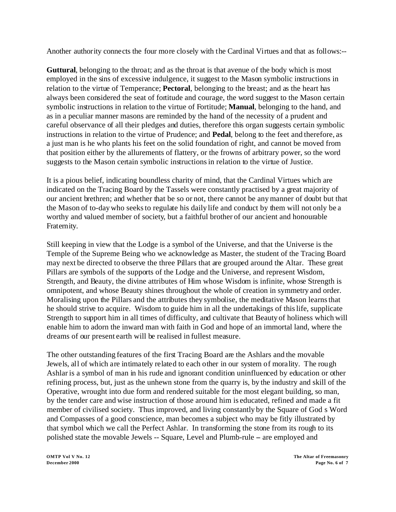Another authority connects the four more closely with the Cardinal Virtues and that as follows:--

**Guttural**, belonging to the throat; and as the throat is that avenue of the body which is most employed in the sins of excessive indulgence, it suggest to the Mason symbolic instructions in relation to the virtue of Temperance; **Pectoral**, belonging to the breast; and as the heart has always been considered the seat of fortitude and courage, the word suggest to the Mason certain symbolic instructions in relation to the virtue of Fortitude; **Manual**, belonging to the hand, and as in a peculiar manner masons are reminded by the hand of the necessity of a prudent and careful observance of all their pledges and duties, therefore this organ suggests certain symbolic instructions in relation to the virtue of Prudence; and **Pedal**, belong to the feet and therefore, as a just man is he who plants his feet on the solid foundation of right, and cannot be moved from that position either by the allurements of flattery, or the frowns of arbitrary power, so the word suggests to the Mason certain symbolic instructions in relation to the virtue of Justice.

It is a pious belief, indicating boundless charity of mind, that the Cardinal Virtues which are indicated on the Tracing Board by the Tassels were constantly practised by a great majority of our ancient brethren; and whether that be so or not, there cannot be any manner of doubt but that the Mason of to-day who seeks to regulate his daily life and conduct by them will not only be a worthy and valued member of society, but a faithful brother of our ancient and honourable Fraternity.

Still keeping in view that the Lodge is a symbol of the Universe, and that the Universe is the Temple of the Supreme Being who we acknowledge as Master, the student of the Tracing Board may next be directed to observe the three Pillars that are grouped around the Altar. These great Pillars are symbols of the supports of the Lodge and the Universe, and represent Wisdom, Strength, and Beauty, the divine attributes of Him whose Wisdom is infinite, whose Strength is omnipotent, and whose Beauty shines throughout the whole of creation in symmetry and order. Moralising upon the Pillars and the attributes they symbolise, the meditative Mason learns that he should strive to acquire. Wisdom to guide him in all the undertakings of this life, supplicate Strength to support him in all times of difficulty, and cultivate that Beauty of holiness which will enable him to adorn the inward man with faith in God and hope of an immortal land, where the dreams of our present earth will be realised in fullest measure.

The other outstanding features of the first Tracing Board are the Ashlars and the movable Jewels, all of which are intimately related to each other in our system of morality. The rough Ashlar is a symbol of man in his rude and ignorant condition uninfluenced by education or other refining process, but, just as the unhewn stone from the quarry is, by the industry and skill of the Operative, wrought into due form and rendered suitable for the most elegant building, so man, by the tender care and wise instruction of those around him is educated, refined and made a fit member of civilised society. Thus improved, and living constantly by the Square of God s Word and Compasses of a good conscience, man becomes a subject who may be fitly illustrated by that symbol which we call the Perfect Ashlar. In transforming the stone from its rough to its polished state the movable Jewels -- Square, Level and Plumb-rule -- are employed and

**OMTP Vol V No. 12 The Altar of Freemasonry December 2000 Page No. 6 of 7**